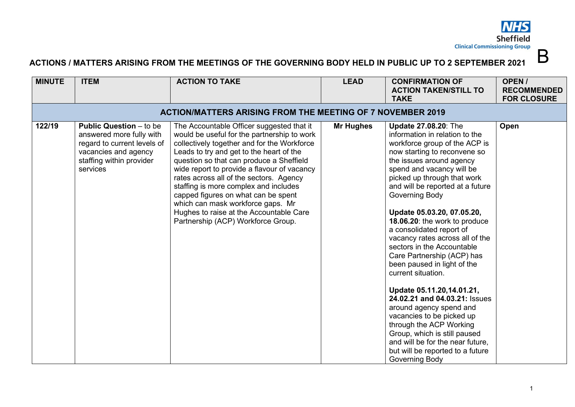**NHS Sheffield Clinical Commissioning Group** 

B

## **ACTIONS / MATTERS ARISING FROM THE MEETINGS OF THE GOVERNING BODY HELD IN PUBLIC UP TO 2 SEPTEMBER 2021**

| <b>MINUTE</b> | <b>ITEM</b>                                                                                                                                               | <b>ACTION TO TAKE</b>                                                                                                                                                                                                                                                                                                                                                                                                                                                                                                           | <b>LEAD</b>      | <b>CONFIRMATION OF</b><br><b>ACTION TAKEN/STILL TO</b><br><b>TAKE</b>                                                                                                                                                                                                                                                                                                                                                                                                                                                                                                                                                                                                                                                                                                                                  | OPEN/<br><b>RECOMMENDED</b><br><b>FOR CLOSURE</b> |  |  |  |
|---------------|-----------------------------------------------------------------------------------------------------------------------------------------------------------|---------------------------------------------------------------------------------------------------------------------------------------------------------------------------------------------------------------------------------------------------------------------------------------------------------------------------------------------------------------------------------------------------------------------------------------------------------------------------------------------------------------------------------|------------------|--------------------------------------------------------------------------------------------------------------------------------------------------------------------------------------------------------------------------------------------------------------------------------------------------------------------------------------------------------------------------------------------------------------------------------------------------------------------------------------------------------------------------------------------------------------------------------------------------------------------------------------------------------------------------------------------------------------------------------------------------------------------------------------------------------|---------------------------------------------------|--|--|--|
|               | <b>ACTION/MATTERS ARISING FROM THE MEETING OF 7 NOVEMBER 2019</b>                                                                                         |                                                                                                                                                                                                                                                                                                                                                                                                                                                                                                                                 |                  |                                                                                                                                                                                                                                                                                                                                                                                                                                                                                                                                                                                                                                                                                                                                                                                                        |                                                   |  |  |  |
| 122/19        | <b>Public Question</b> – to be<br>answered more fully with<br>regard to current levels of<br>vacancies and agency<br>staffing within provider<br>services | The Accountable Officer suggested that it<br>would be useful for the partnership to work<br>collectively together and for the Workforce<br>Leads to try and get to the heart of the<br>question so that can produce a Sheffield<br>wide report to provide a flavour of vacancy<br>rates across all of the sectors. Agency<br>staffing is more complex and includes<br>capped figures on what can be spent<br>which can mask workforce gaps. Mr<br>Hughes to raise at the Accountable Care<br>Partnership (ACP) Workforce Group. | <b>Mr Hughes</b> | <b>Update 27.08.20: The</b><br>information in relation to the<br>workforce group of the ACP is<br>now starting to reconvene so<br>the issues around agency<br>spend and vacancy will be<br>picked up through that work<br>and will be reported at a future<br>Governing Body<br>Update 05.03.20, 07.05.20,<br>18.06.20: the work to produce<br>a consolidated report of<br>vacancy rates across all of the<br>sectors in the Accountable<br>Care Partnership (ACP) has<br>been paused in light of the<br>current situation.<br>Update 05.11.20,14.01.21,<br>24.02.21 and 04.03.21: Issues<br>around agency spend and<br>vacancies to be picked up<br>through the ACP Working<br>Group, which is still paused<br>and will be for the near future.<br>but will be reported to a future<br>Governing Body | Open                                              |  |  |  |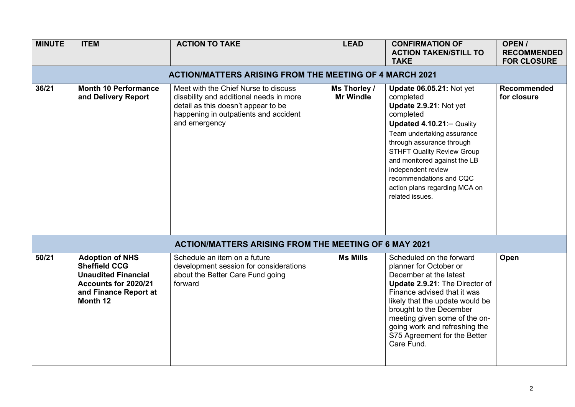| <b>MINUTE</b> | <b>ITEM</b>                                                                                                                               | <b>ACTION TO TAKE</b>                                                                                                                                                            | <b>LEAD</b>                      | <b>CONFIRMATION OF</b><br><b>ACTION TAKEN/STILL TO</b><br><b>TAKE</b>                                                                                                                                                                                                                                                                                  | OPEN/<br><b>RECOMMENDED</b><br><b>FOR CLOSURE</b> |
|---------------|-------------------------------------------------------------------------------------------------------------------------------------------|----------------------------------------------------------------------------------------------------------------------------------------------------------------------------------|----------------------------------|--------------------------------------------------------------------------------------------------------------------------------------------------------------------------------------------------------------------------------------------------------------------------------------------------------------------------------------------------------|---------------------------------------------------|
|               |                                                                                                                                           | <b>ACTION/MATTERS ARISING FROM THE MEETING OF 4 MARCH 2021</b>                                                                                                                   |                                  |                                                                                                                                                                                                                                                                                                                                                        |                                                   |
| 36/21         | <b>Month 10 Performance</b><br>and Delivery Report                                                                                        | Meet with the Chief Nurse to discuss<br>disability and additional needs in more<br>detail as this doesn't appear to be<br>happening in outpatients and accident<br>and emergency | Ms Thorley /<br><b>Mr Windle</b> | <b>Update 06.05.21: Not yet</b><br>completed<br>Update 2.9.21: Not yet<br>completed<br>Updated 4.10.21: - Quality<br>Team undertaking assurance<br>through assurance through<br><b>STHFT Quality Review Group</b><br>and monitored against the LB<br>independent review<br>recommendations and CQC<br>action plans regarding MCA on<br>related issues. | Recommended<br>for closure                        |
|               |                                                                                                                                           | <b>ACTION/MATTERS ARISING FROM THE MEETING OF 6 MAY 2021</b>                                                                                                                     |                                  |                                                                                                                                                                                                                                                                                                                                                        |                                                   |
| 50/21         | <b>Adoption of NHS</b><br><b>Sheffield CCG</b><br><b>Unaudited Financial</b><br>Accounts for 2020/21<br>and Finance Report at<br>Month 12 | Schedule an item on a future<br>development session for considerations<br>about the Better Care Fund going<br>forward                                                            | <b>Ms Mills</b>                  | Scheduled on the forward<br>planner for October or<br>December at the latest<br>Update 2.9.21: The Director of<br>Finance advised that it was<br>likely that the update would be<br>brought to the December<br>meeting given some of the on-<br>going work and refreshing the<br>S75 Agreement for the Better<br>Care Fund.                            | Open                                              |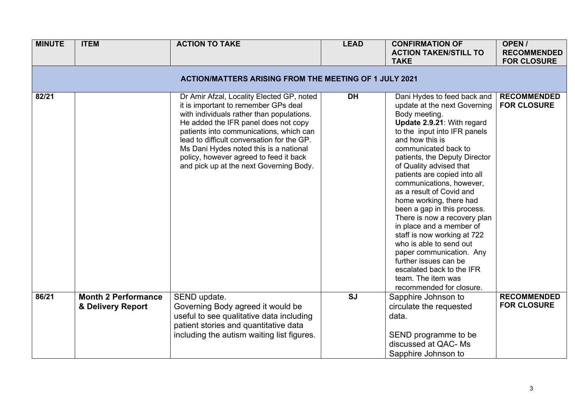| <b>MINUTE</b> | <b>ITEM</b>                                                   | <b>ACTION TO TAKE</b>                                                                                                                                                                                                                                                                                                                                                                          | <b>LEAD</b> | <b>CONFIRMATION OF</b><br><b>ACTION TAKEN/STILL TO</b><br><b>TAKE</b>                                                                                                                                                                                                                                                                                                                                                                                                                                                                                                                                                                                         | OPEN/<br><b>RECOMMENDED</b><br><b>FOR CLOSURE</b> |  |  |
|---------------|---------------------------------------------------------------|------------------------------------------------------------------------------------------------------------------------------------------------------------------------------------------------------------------------------------------------------------------------------------------------------------------------------------------------------------------------------------------------|-------------|---------------------------------------------------------------------------------------------------------------------------------------------------------------------------------------------------------------------------------------------------------------------------------------------------------------------------------------------------------------------------------------------------------------------------------------------------------------------------------------------------------------------------------------------------------------------------------------------------------------------------------------------------------------|---------------------------------------------------|--|--|
|               | <b>ACTION/MATTERS ARISING FROM THE MEETING OF 1 JULY 2021</b> |                                                                                                                                                                                                                                                                                                                                                                                                |             |                                                                                                                                                                                                                                                                                                                                                                                                                                                                                                                                                                                                                                                               |                                                   |  |  |
| 82/21         |                                                               | Dr Amir Afzal, Locality Elected GP, noted<br>it is important to remember GPs deal<br>with individuals rather than populations.<br>He added the IFR panel does not copy<br>patients into communications, which can<br>lead to difficult conversation for the GP.<br>Ms Dani Hydes noted this is a national<br>policy, however agreed to feed it back<br>and pick up at the next Governing Body. | <b>DH</b>   | Dani Hydes to feed back and<br>update at the next Governing<br>Body meeting.<br>Update 2.9.21: With regard<br>to the input into IFR panels<br>and how this is<br>communicated back to<br>patients, the Deputy Director<br>of Quality advised that<br>patients are copied into all<br>communications, however,<br>as a result of Covid and<br>home working, there had<br>been a gap in this process.<br>There is now a recovery plan<br>in place and a member of<br>staff is now working at 722<br>who is able to send out<br>paper communication. Any<br>further issues can be<br>escalated back to the IFR<br>team. The item was<br>recommended for closure. | <b>RECOMMENDED</b><br><b>FOR CLOSURE</b>          |  |  |
| 86/21         | <b>Month 2 Performance</b><br>& Delivery Report               | SEND update.<br>Governing Body agreed it would be<br>useful to see qualitative data including<br>patient stories and quantitative data<br>including the autism waiting list figures.                                                                                                                                                                                                           | <b>SJ</b>   | Sapphire Johnson to<br>circulate the requested<br>data.<br>SEND programme to be<br>discussed at QAC- Ms<br>Sapphire Johnson to                                                                                                                                                                                                                                                                                                                                                                                                                                                                                                                                | <b>RECOMMENDED</b><br><b>FOR CLOSURE</b>          |  |  |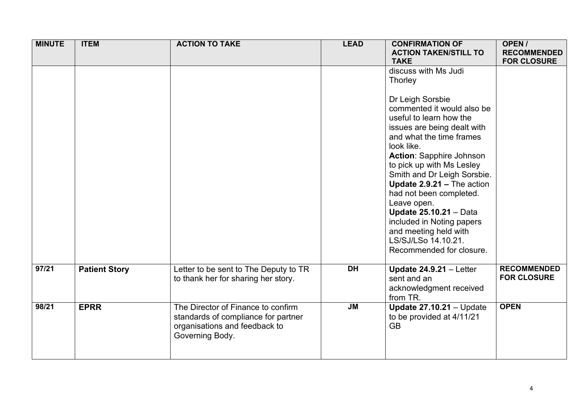| <b>MINUTE</b> | <b>ITEM</b>          | <b>ACTION TO TAKE</b>                                                                                                         | <b>LEAD</b> | <b>CONFIRMATION OF</b><br><b>ACTION TAKEN/STILL TO</b><br><b>TAKE</b>                                                                                                                                                                                                                                                                                                                                                                                                                                  | OPEN/<br><b>RECOMMENDED</b><br><b>FOR CLOSURE</b> |
|---------------|----------------------|-------------------------------------------------------------------------------------------------------------------------------|-------------|--------------------------------------------------------------------------------------------------------------------------------------------------------------------------------------------------------------------------------------------------------------------------------------------------------------------------------------------------------------------------------------------------------------------------------------------------------------------------------------------------------|---------------------------------------------------|
|               |                      |                                                                                                                               |             | discuss with Ms Judi<br>Thorley<br>Dr Leigh Sorsbie<br>commented it would also be<br>useful to learn how the<br>issues are being dealt with<br>and what the time frames<br>look like.<br><b>Action: Sapphire Johnson</b><br>to pick up with Ms Lesley<br>Smith and Dr Leigh Sorsbie.<br>Update 2.9.21 - The action<br>had not been completed.<br>Leave open.<br><b>Update 25.10.21 - Data</b><br>included in Noting papers<br>and meeting held with<br>LS/SJ/LSo 14.10.21.<br>Recommended for closure. |                                                   |
| 97/21         | <b>Patient Story</b> | Letter to be sent to The Deputy to TR<br>to thank her for sharing her story.                                                  | <b>DH</b>   | Update $24.9.21 -$ Letter<br>sent and an<br>acknowledgment received<br>from TR.                                                                                                                                                                                                                                                                                                                                                                                                                        | <b>RECOMMENDED</b><br><b>FOR CLOSURE</b>          |
| 98/21         | <b>EPRR</b>          | The Director of Finance to confirm<br>standards of compliance for partner<br>organisations and feedback to<br>Governing Body. | <b>JM</b>   | Update $27.10.21 -$ Update<br>to be provided at 4/11/21<br><b>GB</b>                                                                                                                                                                                                                                                                                                                                                                                                                                   | <b>OPEN</b>                                       |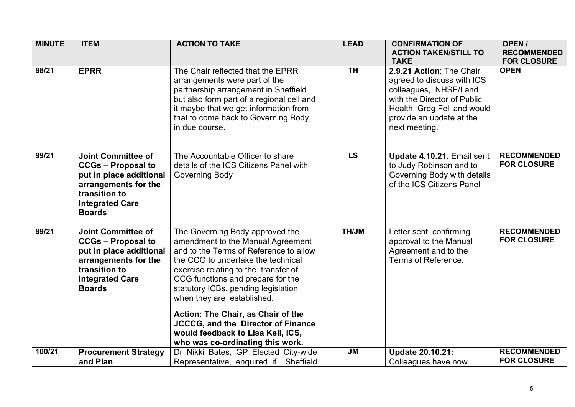| <b>MINUTE</b> | <b>ITEM</b>                                                                                                                                                           | <b>ACTION TO TAKE</b>                                                                                                                                                                                                                                                                                                                                                                                                                                              | <b>LEAD</b> | <b>CONFIRMATION OF</b><br><b>ACTION TAKEN/STILL TO</b><br><b>TAKE</b>                                                                                                                       | OPEN/<br><b>RECOMMENDED</b><br><b>FOR CLOSURE</b> |
|---------------|-----------------------------------------------------------------------------------------------------------------------------------------------------------------------|--------------------------------------------------------------------------------------------------------------------------------------------------------------------------------------------------------------------------------------------------------------------------------------------------------------------------------------------------------------------------------------------------------------------------------------------------------------------|-------------|---------------------------------------------------------------------------------------------------------------------------------------------------------------------------------------------|---------------------------------------------------|
| 98/21         | <b>EPRR</b>                                                                                                                                                           | The Chair reflected that the EPRR<br>arrangements were part of the<br>partnership arrangement in Sheffield<br>but also form part of a regional cell and<br>it maybe that we get information from<br>that to come back to Governing Body<br>in due course.                                                                                                                                                                                                          | TH          | 2.9.21 Action: The Chair<br>agreed to discuss with ICS<br>colleagues, NHSE/I and<br>with the Director of Public<br>Health, Greg Fell and would<br>provide an update at the<br>next meeting. | <b>OPEN</b>                                       |
| 99/21         | <b>Joint Committee of</b><br><b>CCGs - Proposal to</b><br>put in place additional<br>arrangements for the<br>transition to<br><b>Integrated Care</b><br><b>Boards</b> | The Accountable Officer to share<br>details of the ICS Citizens Panel with<br>Governing Body                                                                                                                                                                                                                                                                                                                                                                       | <b>LS</b>   | Update 4.10.21: Email sent<br>to Judy Robinson and to<br>Governing Body with details<br>of the ICS Citizens Panel                                                                           | <b>RECOMMENDED</b><br><b>FOR CLOSURE</b>          |
| 99/21         | <b>Joint Committee of</b><br><b>CCGs - Proposal to</b><br>put in place additional<br>arrangements for the<br>transition to<br><b>Integrated Care</b><br><b>Boards</b> | The Governing Body approved the<br>amendment to the Manual Agreement<br>and to the Terms of Reference to allow<br>the CCG to undertake the technical<br>exercise relating to the transfer of<br>CCG functions and prepare for the<br>statutory ICBs, pending legislation<br>when they are established.<br>Action: The Chair, as Chair of the<br><b>JCCCG, and the Director of Finance</b><br>would feedback to Lisa Kell, ICS,<br>who was co-ordinating this work. | <b>NUHT</b> | Letter sent confirming<br>approval to the Manual<br>Agreement and to the<br>Terms of Reference.                                                                                             | <b>RECOMMENDED</b><br><b>FOR CLOSURE</b>          |
| 100/21        | <b>Procurement Strategy</b><br>and Plan                                                                                                                               | Dr Nikki Bates, GP Elected City-wide<br>Representative, enquired if Sheffield                                                                                                                                                                                                                                                                                                                                                                                      | <b>JM</b>   | <b>Update 20.10.21:</b><br>Colleagues have now                                                                                                                                              | <b>RECOMMENDED</b><br><b>FOR CLOSURE</b>          |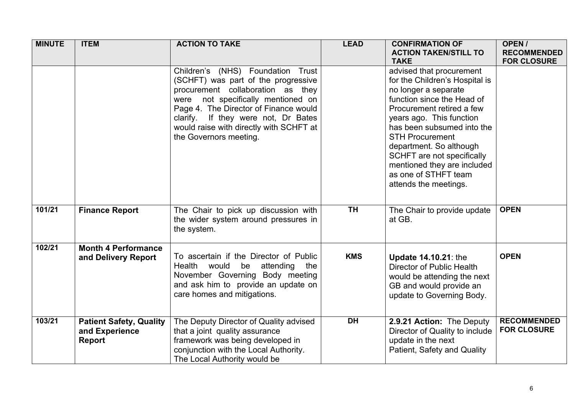| <b>MINUTE</b> | <b>ITEM</b>                                                       | <b>ACTION TO TAKE</b>                                                                                                                                                                                                                                                                                    | <b>LEAD</b> | <b>CONFIRMATION OF</b><br><b>ACTION TAKEN/STILL TO</b><br><b>TAKE</b>                                                                                                                                                                                                                                                                                                      | OPEN/<br><b>RECOMMENDED</b><br><b>FOR CLOSURE</b> |
|---------------|-------------------------------------------------------------------|----------------------------------------------------------------------------------------------------------------------------------------------------------------------------------------------------------------------------------------------------------------------------------------------------------|-------------|----------------------------------------------------------------------------------------------------------------------------------------------------------------------------------------------------------------------------------------------------------------------------------------------------------------------------------------------------------------------------|---------------------------------------------------|
|               |                                                                   | Children's (NHS) Foundation Trust<br>(SCHFT) was part of the progressive<br>procurement collaboration as they<br>were not specifically mentioned on<br>Page 4. The Director of Finance would<br>clarify. If they were not, Dr Bates<br>would raise with directly with SCHFT at<br>the Governors meeting. |             | advised that procurement<br>for the Children's Hospital is<br>no longer a separate<br>function since the Head of<br>Procurement retired a few<br>years ago. This function<br>has been subsumed into the<br><b>STH Procurement</b><br>department. So although<br>SCHFT are not specifically<br>mentioned they are included<br>as one of STHFT team<br>attends the meetings. |                                                   |
| 101/21        | <b>Finance Report</b>                                             | The Chair to pick up discussion with<br>the wider system around pressures in<br>the system.                                                                                                                                                                                                              | <b>TH</b>   | The Chair to provide update<br>at GB.                                                                                                                                                                                                                                                                                                                                      | <b>OPEN</b>                                       |
| 102/21        | <b>Month 4 Performance</b><br>and Delivery Report                 | To ascertain if the Director of Public<br>Health<br>would<br>be<br>attending<br>the<br>November Governing Body meeting<br>and ask him to provide an update on<br>care homes and mitigations.                                                                                                             | <b>KMS</b>  | <b>Update 14.10.21: the</b><br>Director of Public Health<br>would be attending the next<br>GB and would provide an<br>update to Governing Body.                                                                                                                                                                                                                            | <b>OPEN</b>                                       |
| 103/21        | <b>Patient Safety, Quality</b><br>and Experience<br><b>Report</b> | The Deputy Director of Quality advised<br>that a joint quality assurance<br>framework was being developed in<br>conjunction with the Local Authority.<br>The Local Authority would be                                                                                                                    | <b>DH</b>   | 2.9.21 Action: The Deputy<br>Director of Quality to include<br>update in the next<br>Patient, Safety and Quality                                                                                                                                                                                                                                                           | <b>RECOMMENDED</b><br><b>FOR CLOSURE</b>          |